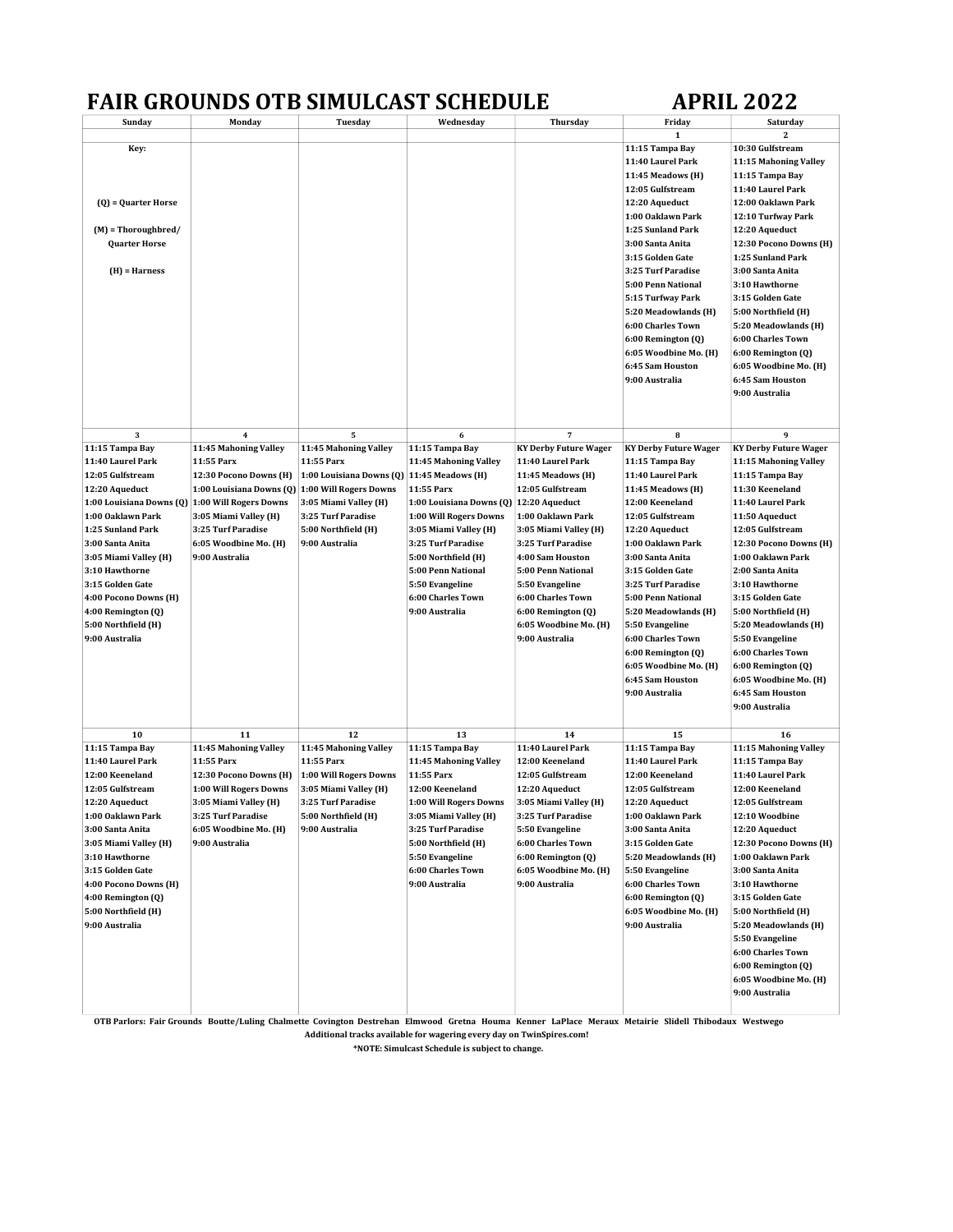## FAIR GROUNDS OTB SIMULCAST SCHEDULE APRIL 2022

| Sunday                                          | Monday                   | Tuesday                                    | Wednesday                | Thursday                     | Friday                 | Saturday<br>2                |
|-------------------------------------------------|--------------------------|--------------------------------------------|--------------------------|------------------------------|------------------------|------------------------------|
| Key:                                            |                          |                                            |                          |                              | 1<br>11:15 Tampa Bay   | 10:30 Gulfstream             |
|                                                 |                          |                                            |                          |                              | 11:40 Laurel Park      | 11:15 Mahoning Valley        |
|                                                 |                          |                                            |                          |                              |                        |                              |
|                                                 |                          |                                            |                          |                              | 11:45 Meadows (H)      | 11:15 Tampa Bay              |
|                                                 |                          |                                            |                          |                              | 12:05 Gulfstream       | 11:40 Laurel Park            |
| $(Q)$ = Quarter Horse                           |                          |                                            |                          |                              | 12:20 Aqueduct         | 12:00 Oaklawn Park           |
|                                                 |                          |                                            |                          |                              | 1:00 Oaklawn Park      | 12:10 Turfway Park           |
| $(M)$ = Thoroughbred/                           |                          |                                            |                          |                              | 1:25 Sunland Park      | 12:20 Aqueduct               |
| <b>Quarter Horse</b>                            |                          |                                            |                          |                              | 3:00 Santa Anita       | 12:30 Pocono Downs (H)       |
|                                                 |                          |                                            |                          |                              | 3:15 Golden Gate       | 1:25 Sunland Park            |
| $(H)$ = Harness                                 |                          |                                            |                          |                              | 3:25 Turf Paradise     | 3:00 Santa Anita             |
|                                                 |                          |                                            |                          |                              | 5:00 Penn National     | 3:10 Hawthorne               |
|                                                 |                          |                                            |                          |                              | 5:15 Turfway Park      | 3:15 Golden Gate             |
|                                                 |                          |                                            |                          |                              | 5:20 Meadowlands (H)   | 5:00 Northfield (H)          |
|                                                 |                          |                                            |                          |                              | 6:00 Charles Town      | 5:20 Meadowlands (H)         |
|                                                 |                          |                                            |                          |                              | 6:00 Remington (Q)     | 6:00 Charles Town            |
|                                                 |                          |                                            |                          |                              | 6:05 Woodbine Mo. (H)  | 6:00 Remington (Q)           |
|                                                 |                          |                                            |                          |                              | 6:45 Sam Houston       | 6:05 Woodbine Mo. (H)        |
|                                                 |                          |                                            |                          |                              | 9:00 Australia         | 6:45 Sam Houston             |
|                                                 |                          |                                            |                          |                              |                        |                              |
|                                                 |                          |                                            |                          |                              |                        | 9:00 Australia               |
|                                                 |                          |                                            |                          |                              |                        |                              |
| 3                                               | $\boldsymbol{4}$         | 5                                          | 6                        | 7                            | 8                      | 9                            |
| 11:15 Tampa Bay                                 | 11:45 Mahoning Valley    | 11:45 Mahoning Valley                      | 11:15 Tampa Bay          | <b>KY Derby Future Wager</b> | KY Derby Future Wager  | <b>KY Derby Future Wager</b> |
| 11:40 Laurel Park                               | 11:55 Parx               | 11:55 Parx                                 | 11:45 Mahoning Valley    | 11:40 Laurel Park            | 11:15 Tampa Bay        | 11:15 Mahoning Valley        |
| 12:05 Gulfstream                                | 12:30 Pocono Downs (H)   | 1:00 Louisiana Downs (Q) 11:45 Meadows (H) |                          | 11:45 Meadows (H)            | 11:40 Laurel Park      | 11:15 Tampa Bay              |
| 12:20 Aqueduct                                  | 1:00 Louisiana Downs (Q) | 1:00 Will Rogers Downs                     | 11:55 Parx               | 12:05 Gulfstream             | 11:45 Meadows (H)      | 11:30 Keeneland              |
| 1:00 Louisiana Downs (Q) 1:00 Will Rogers Downs |                          | 3:05 Miami Valley (H)                      |                          |                              | 12:00 Keeneland        | 11:40 Laurel Park            |
| 1:00 Oaklawn Park                               |                          |                                            | 1:00 Louisiana Downs (Q) | 12:20 Aqueduct               |                        |                              |
|                                                 | 3:05 Miami Valley (H)    | 3:25 Turf Paradise                         | 1:00 Will Rogers Downs   | 1:00 Oaklawn Park            | 12:05 Gulfstream       | 11:50 Aqueduct               |
| 1:25 Sunland Park                               | 3:25 Turf Paradise       | 5:00 Northfield (H)                        | 3:05 Miami Valley (H)    | 3:05 Miami Valley (H)        | 12:20 Aqueduct         | 12:05 Gulfstream             |
| 3:00 Santa Anita                                | 6:05 Woodbine Mo. (H)    | 9:00 Australia                             | 3:25 Turf Paradise       | 3:25 Turf Paradise           | 1:00 Oaklawn Park      | 12:30 Pocono Downs (H)       |
| 3:05 Miami Valley (H)                           | 9:00 Australia           |                                            | 5:00 Northfield (H)      | 4:00 Sam Houston             | 3:00 Santa Anita       | 1:00 Oaklawn Park            |
| 3:10 Hawthorne                                  |                          |                                            | 5:00 Penn National       | 5:00 Penn National           | 3:15 Golden Gate       | 2:00 Santa Anita             |
| 3:15 Golden Gate                                |                          |                                            | 5:50 Evangeline          | 5:50 Evangeline              | 3:25 Turf Paradise     | 3:10 Hawthorne               |
| 4:00 Pocono Downs (H)                           |                          |                                            | 6:00 Charles Town        | 6:00 Charles Town            | 5:00 Penn National     | 3:15 Golden Gate             |
| 4:00 Remington (Q)                              |                          |                                            | 9:00 Australia           | 6:00 Remington (Q)           | 5:20 Meadowlands (H)   | 5:00 Northfield (H)          |
| 5:00 Northfield (H)                             |                          |                                            |                          | 6:05 Woodbine Mo. (H)        | 5:50 Evangeline        | 5:20 Meadowlands (H)         |
| 9:00 Australia                                  |                          |                                            |                          | 9:00 Australia               | 6:00 Charles Town      | 5:50 Evangeline              |
|                                                 |                          |                                            |                          |                              | 6:00 Remington (Q)     | 6:00 Charles Town            |
|                                                 |                          |                                            |                          |                              | 6:05 Woodbine Mo. (H)  | 6:00 Remington (Q)           |
|                                                 |                          |                                            |                          |                              | 6:45 Sam Houston       | 6:05 Woodbine Mo. (H)        |
|                                                 |                          |                                            |                          |                              | 9:00 Australia         | 6:45 Sam Houston             |
|                                                 |                          |                                            |                          |                              |                        | 9:00 Australia               |
|                                                 |                          |                                            |                          |                              |                        |                              |
| 10                                              | 11                       | 12                                         | 13                       | 14                           | 15                     | 16                           |
| 11:15 Tampa Bay                                 | 11:45 Mahoning Valley    | 11:45 Mahoning Valley                      | 11:15 Tampa Bay          | 11:40 Laurel Park            | 11:15 Tampa Bay        | 11:15 Mahoning Valley        |
| 11:40 Laurel Park                               | 11:55 Parx               | 11:55 Parx                                 | 11:45 Mahoning Valley    | 12:00 Keeneland              | 11:40 Laurel Park      | 11:15 Tampa Bay              |
| 12:00 Keeneland                                 | 12:30 Pocono Downs (H)   | 1:00 Will Rogers Downs                     | 11:55 Parx               | 12:05 Gulfstream             | 12:00 Keeneland        | 11:40 Laurel Park            |
| 12:05 Gulfstream                                | 1:00 Will Rogers Downs   | 3:05 Miami Valley (H)                      | 12:00 Keeneland          | 12:20 Aqueduct               | 12:05 Gulfstream       | 12:00 Keeneland              |
| 12:20 Aqueduct                                  | 3:05 Miami Valley (H)    | 3:25 Turf Paradise                         | 1:00 Will Rogers Downs   | 3:05 Miami Valley (H)        | 12:20 Aqueduct         | 12:05 Gulfstream             |
| 1:00 Oaklawn Park                               | 3:25 Turf Paradise       | 5:00 Northfield (H)                        | 3:05 Miami Valley (H)    | 3:25 Turf Paradise           | 1:00 Oaklawn Park      | 12:10 Woodbine               |
| 3:00 Santa Anita                                | 6:05 Woodbine Mo. (H)    | 9:00 Australia                             | 3:25 Turf Paradise       | 5:50 Evangeline              | 3:00 Santa Anita       | 12:20 Aqueduct               |
| 3:05 Miami Valley (H)                           | 9:00 Australia           |                                            | 5:00 Northfield (H)      | 6:00 Charles Town            | 3:15 Golden Gate       | 12:30 Pocono Downs (H)       |
|                                                 |                          |                                            |                          |                              |                        |                              |
| 3:10 Hawthorne                                  |                          |                                            | 5:50 Evangeline          | 6:00 Remington (Q)           | 5:20 Meadowlands (H)   | 1:00 Oaklawn Park            |
| 3:15 Golden Gate                                |                          |                                            | 6:00 Charles Town        | 6:05 Woodbine Mo. (H)        | 5:50 Evangeline        | 3:00 Santa Anita             |
| 4:00 Pocono Downs (H)                           |                          |                                            | 9:00 Australia           | 9:00 Australia               | 6:00 Charles Town      | 3:10 Hawthorne               |
| 4:00 Remington (Q)                              |                          |                                            |                          |                              | $6:00$ Remington $(Q)$ | 3:15 Golden Gate             |
| 5:00 Northfield (H)                             |                          |                                            |                          |                              | 6:05 Woodbine Mo. (H)  | 5:00 Northfield (H)          |
| 9:00 Australia                                  |                          |                                            |                          |                              | 9:00 Australia         | 5:20 Meadowlands (H)         |
|                                                 |                          |                                            |                          |                              |                        | 5:50 Evangeline              |
|                                                 |                          |                                            |                          |                              |                        | 6:00 Charles Town            |
|                                                 |                          |                                            |                          |                              |                        | 6:00 Remington (0)           |
|                                                 |                          |                                            |                          |                              |                        | 6:05 Woodbine Mo. (H)        |
|                                                 |                          |                                            |                          |                              |                        | 9:00 Australia               |
|                                                 |                          |                                            |                          |                              |                        |                              |

OTB Parlors: Fair Grounds Boutte/Luling Chalmette Covington Destrehan Elmwood Gretna Houma Kenner LaPlace Meraux Metairie Slidell Thibodaux Westwego

Additional tracks available for wagering every day on TwinSpires.com!

\*NOTE: Simulcast Schedule is subject to change.